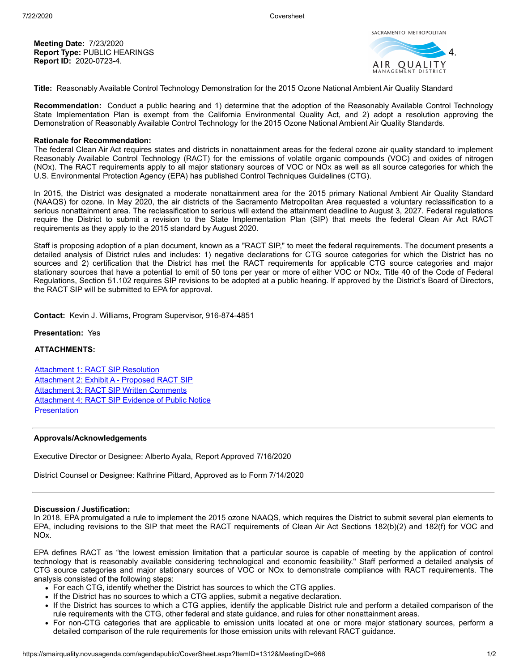**Meeting Date:** 7/23/2020 **Report Type:** PUBLIC HEARINGS **Report ID:** 2020-0723-4.



**Title:** Reasonably Available Control Technology Demonstration for the 2015 Ozone National Ambient Air Quality Standard

**Recommendation:** Conduct a public hearing and 1) determine that the adoption of the Reasonably Available Control Technology State Implementation Plan is exempt from the California Environmental Quality Act, and 2) adopt a resolution approving the Demonstration of Reasonably Available Control Technology for the 2015 Ozone National Ambient Air Quality Standards.

### **Rationale for Recommendation:**

The federal Clean Air Act requires states and districts in nonattainment areas for the federal ozone air quality standard to implement Reasonably Available Control Technology (RACT) for the emissions of volatile organic compounds (VOC) and oxides of nitrogen (NOx). The RACT requirements apply to all major stationary sources of VOC or NOx as well as all source categories for which the U.S. Environmental Protection Agency (EPA) has published Control Techniques Guidelines (CTG).

In 2015, the District was designated a moderate nonattainment area for the 2015 primary National Ambient Air Quality Standard (NAAQS) for ozone. In May 2020, the air districts of the Sacramento Metropolitan Area requested a voluntary reclassification to a serious nonattainment area. The reclassification to serious will extend the attainment deadline to August 3, 2027. Federal regulations require the District to submit a revision to the State Implementation Plan (SIP) that meets the federal Clean Air Act RACT requirements as they apply to the 2015 standard by August 2020.

Staff is proposing adoption of a plan document, known as a "RACT SIP," to meet the federal requirements. The document presents a detailed analysis of District rules and includes: 1) negative declarations for CTG source categories for which the District has no sources and 2) certification that the District has met the RACT requirements for applicable CTG source categories and major stationary sources that have a potential to emit of 50 tons per year or more of either VOC or NOx. Title 40 of the Code of Federal Regulations, Section 51.102 requires SIP revisions to be adopted at a public hearing. If approved by the District's Board of Directors, the RACT SIP will be submitted to EPA for approval.

**Contact:** Kevin J. Williams, Program Supervisor, 916-874-4851

## **Presentation:** Yes

# **ATTACHMENTS:**

[Attachment 1: RACT SIP Resolution](https://smairquality.novusagenda.com/agendapublic/AttachmentViewer.ashx?AttachmentID=1506&ItemID=1312) [Attachment 2: Exhibit A - Proposed RACT SIP](https://smairquality.novusagenda.com/agendapublic/AttachmentViewer.ashx?AttachmentID=1505&ItemID=1312) [Attachment 3: RACT SIP Written Comments](https://smairquality.novusagenda.com/agendapublic/AttachmentViewer.ashx?AttachmentID=1510&ItemID=1312) [Attachment 4: RACT SIP Evidence of Public Notice](https://smairquality.novusagenda.com/agendapublic/AttachmentViewer.ashx?AttachmentID=1511&ItemID=1312) **[Presentation](https://smairquality.novusagenda.com/agendapublic/AttachmentViewer.ashx?AttachmentID=1526&ItemID=1312)** 

### **Approvals/Acknowledgements**

Executive Director or Designee: Alberto Ayala, Report Approved 7/16/2020

District Counsel or Designee: Kathrine Pittard, Approved as to Form 7/14/2020

#### **Discussion / Justification:**

In 2018, EPA promulgated a rule to implement the 2015 ozone NAAQS, which requires the District to submit several plan elements to EPA, including revisions to the SIP that meet the RACT requirements of Clean Air Act Sections 182(b)(2) and 182(f) for VOC and NOx.

EPA defines RACT as "the lowest emission limitation that a particular source is capable of meeting by the application of control technology that is reasonably available considering technological and economic feasibility." Staff performed a detailed analysis of CTG source categories and major stationary sources of VOC or NOx to demonstrate compliance with RACT requirements. The analysis consisted of the following steps:

- For each CTG, identify whether the District has sources to which the CTG applies.
- If the District has no sources to which a CTG applies, submit a negative declaration.
- If the District has sources to which a CTG applies, identify the applicable District rule and perform a detailed comparison of the rule requirements with the CTG, other federal and state guidance, and rules for other nonattainment areas.
- For non-CTG categories that are applicable to emission units located at one or more major stationary sources, perform a detailed comparison of the rule requirements for those emission units with relevant RACT guidance.